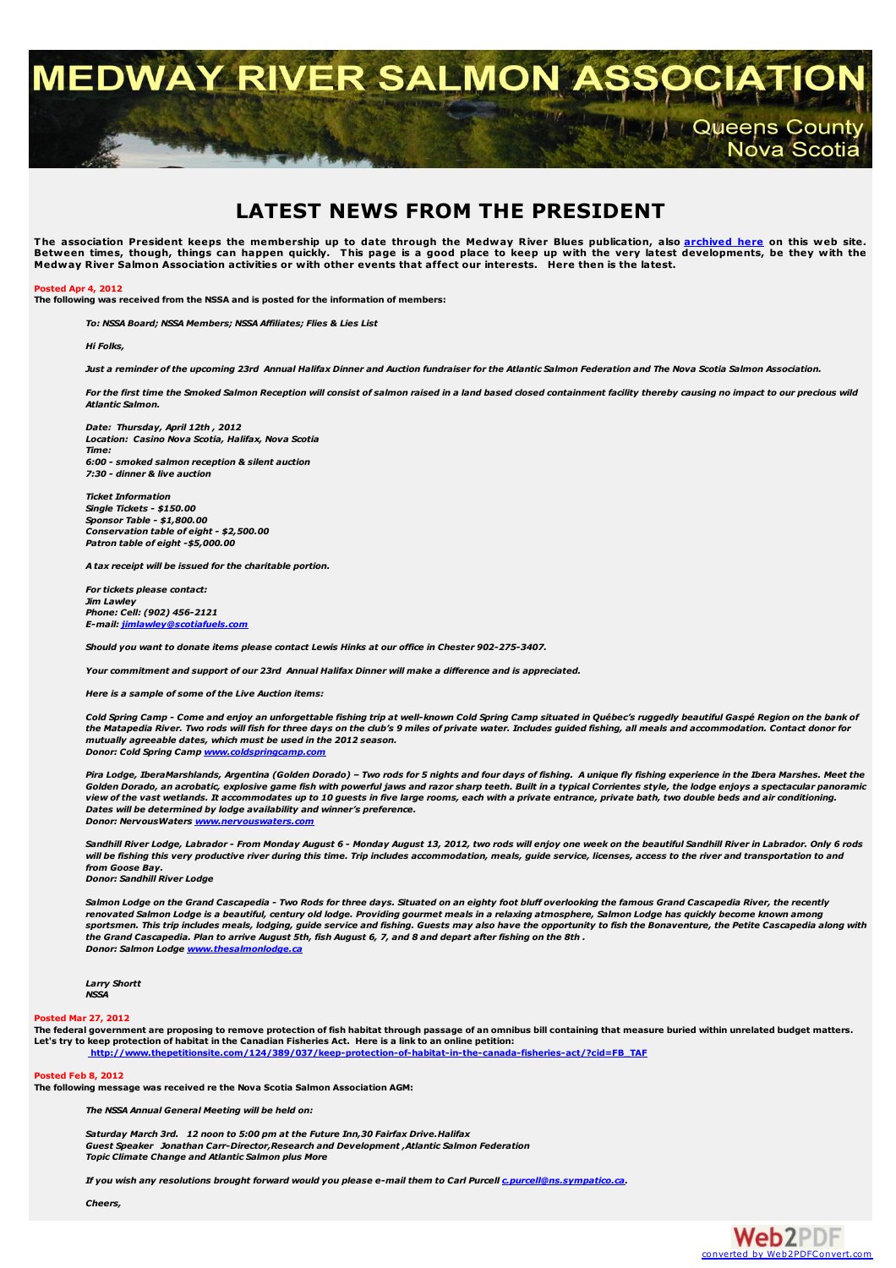MEDWAY RIVER SALMON ASSOC

# **LATEST NEWS FROM THE PRESIDENT**

The association President keeps the membership up to date through the Medway River Blues publication, also <u>[archived](http://medwayriversalmonassociation.org/archives/archives.html) here</u> on this web site.<br>Between times, though, things can happen quickly. This page is a good place to ke

### **Posted Apr 4, 2012**

**The following was received from the NSSA and is posted for the information of members:**

*To: NSSA Board; NSSA Members; NSSA Affiliates; Flies & Lies List*

*Hi Folks,*

Just a reminder of the upcoming 23rd Annual Halifax Dinner and Auction fundraiser for the Atlantic Salmon Federation and The Nova Scotia Salmon Association.

For the first time the Smoked Salmon Reception will consist of salmon raised in a land based closed containment facility thereby causing no impact to our precious wild *Atlantic Salmon.*

*Date: Thursday, April 12th , 2012 Location: Casino Nova Scotia, Halifax, Nova Scotia Time: 6:00 - smoked salmon reception & silent auction 7:30 - dinner & live auction*

*Ticket Information Single Tickets - \$150.00 Sponsor Table - \$1,800.00 Conservation table of eight - \$2,500.00 Patron table of eight -\$5,000.00*

*A tax receipt will be issued for the charitable portion.*

*For tickets please contact: Jim Lawley Phone: Cell: (902) 456-2121 E-mail: jimlaw* 

*Should you want to donate items please contact Lewis Hinks at our office in Chester 902-275-3407.*

*Your commitment and support of our 23rd Annual Halifax Dinner will make a difference and is appreciated.*

*Here is a sample of some of the Live Auction items:*

Cold Spring Camp - Come and enjoy an unforgettable fishing trip at well-known Cold Spring Camp situated in Québec's ruggedly beautiful Gaspé Region on the bank of the Matapedia River. Two rods will fish for three days on the club's 9 miles of private water. Includes quided fishing, all meals and accommodation. Contact donor for *mutually agreeable dates, which must be used in the 2012 season. Donor: Cold Spring Camp www.coldspringcamp.* 

Pira Lodge, IberaMarshlands, Argentina (Golden Dorado) - Two rods for 5 nights and four days of fishing. A unique fly fishing experience in the Ibera Marshes, Meet the *Golden Dorado, an acrobatic, explosive game fish with powerful jaws and razor sharp teeth. Built in a typical Corrientes style, the lodge enjoys a spectacular panoramic* view of the vast wetlands. It accommodates up to 10 guests in five large rooms, each with a private entrance, private bath, two double beds and air conditioning. *Dates will be determined by lodge availability and winner's preference. Donor: NervousWaters [www.nervouswaters.com](http://medwayriversalmonassociation.org/presidentsnews/www.nervouswaters.com)*

Sandhill River Lodge, Labrador - From Monday August 6 - Monday August 13, 2012, two rods will enjoy one week on the beautiful Sandhill River in Labrador. Only 6 rods will be fishing this very productive river during this time. Trip includes accommodation, meals, guide service, licenses, access to the river and transportation to and *from Goose Bay.*

*Donor: Sandhill River Lodge*

Salmon Lodge on the Grand Cascapedia - Two Rods for three days. Situated on an eighty foot bluff overlooking the famous Grand Cascapedia River, the recently removated Salmon Lodge is a beautiful, century old lodge. Providing gourmet meals in a relaxing atmosphere, Salmon Lodge has quickly become known among sportsmen. This trip includes meals, lodging, guide service and fishing. Guests may also have the opportunity to fish the Bonaventure, the Petite Cascapedia along with the Grand Cascapedia. Plan to arrive August 5th, fish August 6, 7, and 8 and depart after fishing on the 8th. *Donor: Salmon Lodge [www.thesalmonlodge.ca](http://medwayriversalmonassociation.org/presidentsnews/www.thesalmonlodge.ca)*

*Larry Shortt NSSA*

### **Posted Mar 27, 2012**

The federal government are proposing to remove protection of fish habitat through passage of an omnibus bill containing that measure buried within unrelated budget matters. Let's try to keep protection of habitat in the Canadian Fisheries Act. Here is a link to an online petition: **[http://www.thepetitionsite.com/124/389/037/keep-protection-of-habitat-in-the-canada-fisheries-act/?cid=FB\\_TAF](http://www.thepetitionsite.com/124/389/037/keep-protection-of-habitat-in-the-canada-fisheries-act/?cid=FB_TAF)**

### **Posted Feb 8, 2012**

**The following message was received re the Nova Scotia Salmon Association AGM:**

*The NSSA Annual General Meeting will be held on:*

*Saturday March 3rd. 12 noon to 5:00 pm at the Future Inn,30 Fairfax Drive.Halifax Guest Speaker Jonathan Carr-Director,Research and Development ,Atlantic Salmon Federation Topic Climate Change and Atlantic Salmon plus More*

If you wish any resolutions brought forward would you please e-mail them to Carl Purcell [c.purcell@ns.sympatico.ca](mailto:c.purcell@ns.sympatico.ca).



**And All Cueens County<br>Nova Scotia**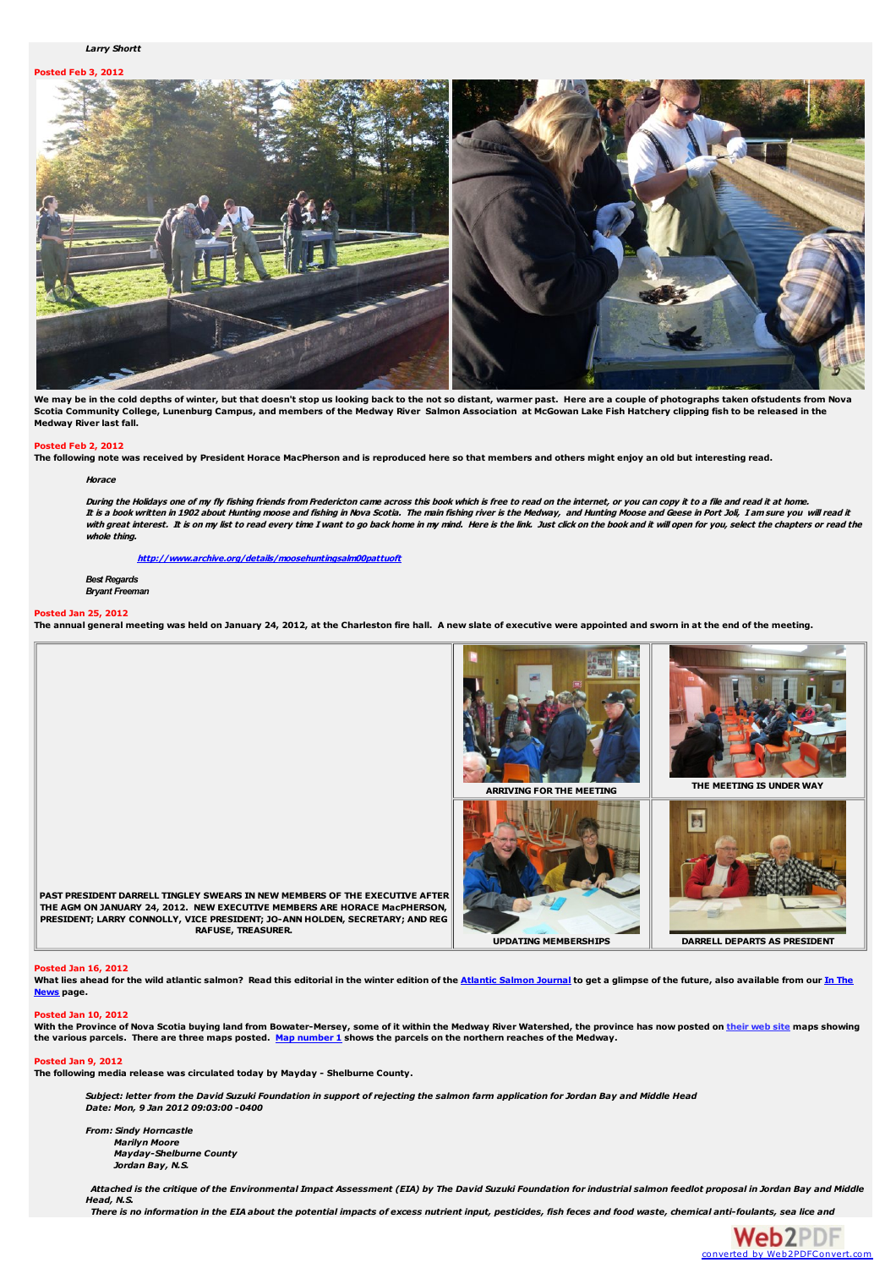**Posted Feb 3, 2012**



We may be in the cold depths of winter, but that doesn't stop us looking back to the not so distant, warmer past. Here are a couple of photographs taken ofstudents from Nova<br>Scotia Community College, Lunenburg Campus, and **Medway River last fall.**

### **Posted Feb 2, 2012**

The following note was received by President Horace MacPherson and is reproduced here so that members and others might enjoy an old but interesting read.

### **Horace**

During the Holidays one of my fly fishing friends from Fredericton came across this book which is free to read on the internet, or you can copy it to a file and read it at home.<br>It is a book written in 1902 about Hunting m with great interest. It is on my list to read every time I want to go back home in my mind. Here is the link. Just click on the book and it will open for you, select the chapters or read the **whole thing.**

**<http://www.archive.org/details/moosehuntingsalm00pattuoft>**

*Best Regards Bryant Freeman*

### **Posted Jan 25, 2012**

The annual general meeting was held on January 24, 2012, at the Charleston fire hall. A new slate of executive were appointed and sworn in at the end of the meeting.



# **Posted Jan 16, 2012**

What lies ahead for the wild atlantic salmon? Read this editorial in the winter edition of the [Atlantic](http://medwayriversalmonassociation.org/news/salmon16Jan2012.jpg) Salmon Journal to get a glimpse of the future, also [available](http://medwayriversalmonassociation.org/news/inthenews.html) from our In The **News page.**

### **Posted Jan 10, 2012**

With the Province of Nova Scotia buying land from Bowater-Mersey, some of it within the Medway River Watershed, the province has now posted on [their](http://www.gov.ns.ca/natr/land/bowater2012/bowater2012.asp) web site maps showing the various parcels. There are three maps posted. Map [number](http://www.gov.ns.ca/natr/land/bowater2012/pdf/BowaterProposedLandsMap1of3.pdf) 1 shows the parcels on the northern reaches of the Medway.

# **Posted Jan 9, 2012**

**The following media release was circulated today by Mayday - Shelburne County.**

Subject: letter from the David Suzuki Foundation in support of rejecting the salmon farm application for Jordan Bay and Middle Head *Date: Mon, 9 Jan 2012 09:03:00 -0400*

*From: Sindy Horncastle Marilyn Moore Mayday-Shelburne County Jordan Bay, N.S.*

Attached is the critique of the Environmental Impact Assessment (EIA) by The David Suzuki Foundation for industrial salmon feedlot proposal in Jordan Bay and Middle *Head, N.S.*

There is no information in the EIA about the potential impacts of excess nutrient input, pesticides, fish feces and food waste, chemical anti-foulants, sea lice and

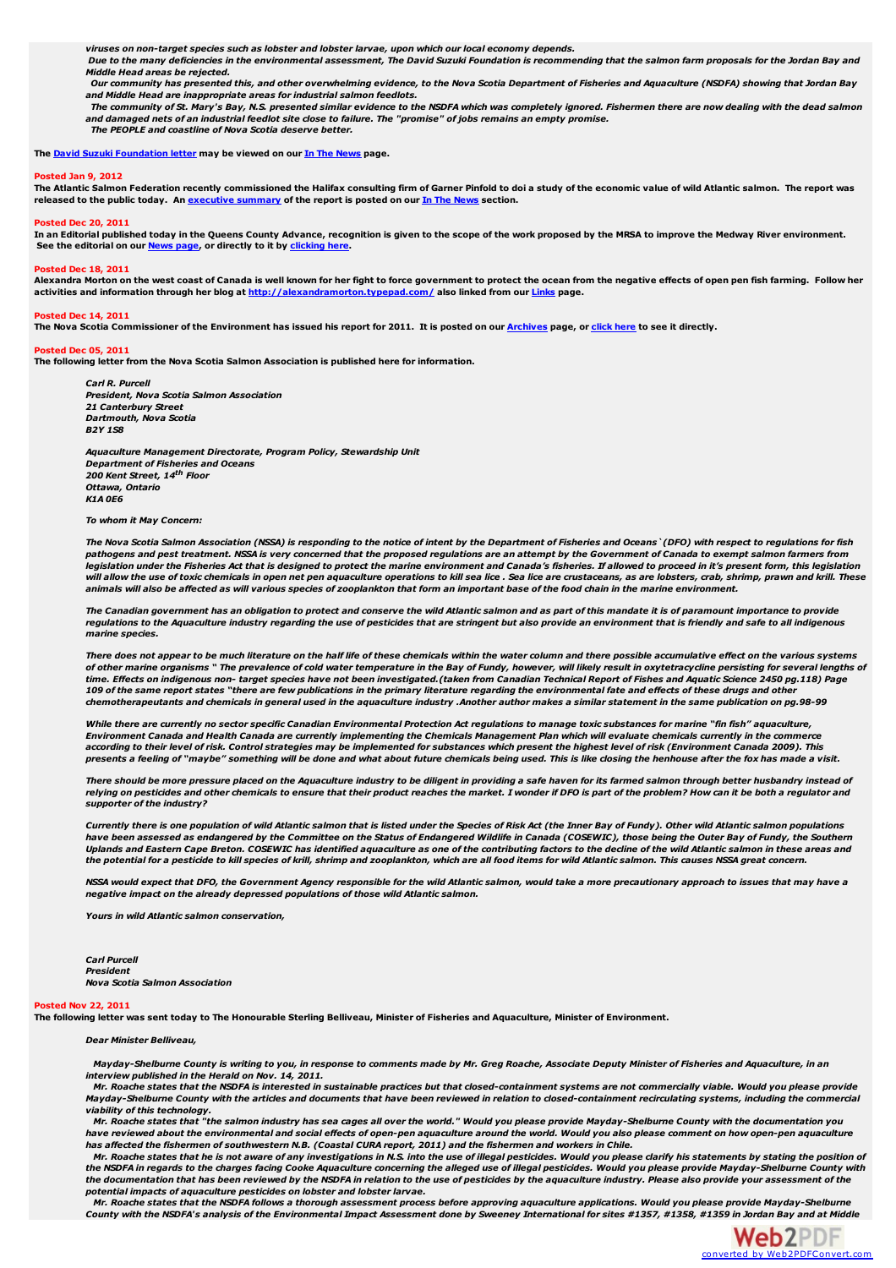*viruses on non-target species such as lobster and lobster larvae, upon which our local economy depends.*

Due to the many deficiencies in the environmental assessment, The David Suzuki Foundation is recommending that the salmon farm proposals for the Jordan Bay and *Middle Head areas be rejected.*

Our community has presented this, and other overwhelming evidence, to the Nova Scotia Department of Fisheries and Aquaculture (NSDFA) showing that Jordan Bay *and Middle Head are inappropriate areas for industrial salmon feedlots.*

The community of St. Mary's Bay, N.S. presented similar evidence to the NSDFA which was completely ignored. Fishermen there are now dealing with the dead salmon and damaged nets of an industrial feedlot site close to failure. The "promise" of jobs remains an empty promise. *The PEOPLE and coastline of Nova Scotia deserve better.*

### **The David Suzuki [Foundation](http://medwayriversalmonassociation.org/news/09Jan2012suzuki-jordan-1.pdf) letter may be viewed on our In The [News](http://medwayriversalmonassociation.org/news/inthenews.html) page.**

### **Posted Jan 9, 2012**

The Atlantic Salmon Federation recently commissioned the Halifax consulting firm of Garner Pinfold to doi a study of the economic value of wild Atlantic salmon. The report was released to the public today. An [executive](http://medwayriversalmonassociation.org/news/02Jan2012exec-summary-gardner-pinfold.pdf) summary of the report is posted on our In The [News](http://medwayriversalmonassociation.org/news/inthenews.html) section.

### **Posted Dec 20, 2011**

In an Editorial published today in the Queens County Advance, recognition is given to the scope of the work proposed by the MRSA to improve the Medway River environment. **See the editorial on our [News](http://medwayriversalmonassociation.org/news/inthenews.html) page, or directly to it by [clicking](http://medwayriversalmonassociation.org/news/Advance20Dec2011.pdf) here.**

### **Posted Dec 18, 2011**

Alexandra Morton on the west coast of Canada is well known for her fight to force government to protect the ocean from the negative effects of open pen fish farming. Follow her **activities and information through her blog at <http://alexandramorton.typepad.com/> also linked from our [Links](http://medwayriversalmonassociation.org/links/links.html) page.**

# **Posted Dec 14, 2011**

The Nova Scotia Commissioner of the Environment has issued his report for 2011. It is posted on our [Archives](http://medwayriversalmonassociation.org/archives/archives.html) page, or [click](http://medwayriversalmonassociation.org/archives/CommissionerOfEnvironmentReport2011.pdf) here to see it directly.

#### **Posted Dec 05, 2011**

**The following letter from the Nova Scotia Salmon Association is published here for information.**

*Carl R. Purcell President, Nova Scotia Salmon Association 21 Canterbury Street Dartmouth, Nova Scotia B2Y 1S8*

*Aquaculture Management Directorate, Program Policy, Stewardship Unit Department of Fisheries and Oceans 200 Kent Street, 14 th Floor Ottawa, Ontario K1A 0E6*

### *To whom it May Concern:*

The Nova Scotia Salmon Association (NSSA) is responding to the notice of intent by the Department of Fisheries and Oceans`(DFO) with respect to regulations for fish pathogens and pest treatment. NSSA is very concerned that the proposed regulations are an attempt by the Government of Canada to exempt salmon farmers from .<br>legislation under the Fisheries Act that is designed to protect the marine environment and Canada's fisheries. If allowed to proceed in it's present form, this legislation will allow the use of toxic chemicals in open net pen aquaculture operations to kill sea lice . Sea lice are crustaceans, as are lobsters, crab, shrimp, prawn and krill. These animals will also be affected as will various species of zooplankton that form an important base of the food chain in the marine environment.

The Canadian government has an obligation to protect and conserve the wild Atlantic salmon and as part of this mandate it is of paramount importance to provide<br>regulations to the Aquaculture industry regarding the use of p *marine species.*

There does not appear to be much literature on the half life of these chemicals within the water column and there possible accumulative effect on the various systems<br>of other marine organisms " The prevalence of cold water of other marine organisms " The prevalence of cold water temperature in the Bay of Fundy, however, will likely result in oxytetracycline persisting for several I time. Effects on indigenous non-target species have not been investigated.(taken from Canadian Technical Report of Fishes and Aquatic Science 2450 pg.118) Page 109 of the same report states "there are few publications in the primary literature regarding the environmental fate and effects of these drugs and other chemotherapeutants and chemicals in general used in the aquaculture industry .Another author makes a similar statement in the same publication on pg.98-99

While there are currently no sector specific Canadian Environmental Protection Act regulations to manage toxic substances for marine "fin fish" aguaculture. Environment Canada and Health Canada are currently implementing the Chemicals Management Plan which will evaluate chemicals currently in the commercement according to their level of risk. Control strategies may be implemented for substances which present the highest level of risk (Environment Canada 2009). This presents a feeling of "maybe" something will be done and what about future chemicals being used. This is like closing the henhouse after the fox has made a visit.

There should be more pressure placed on the Aquaculture industry to be diligent in providing a safe haven for its farmed salmon through better husbandry instead of relying on pesticides and other chemicals to ensure that their product reaches the market. I wonder if DFO is part of the problem? How can it be both a regulator and *supporter of the industry?*

Currently there is one population of wild Atlantic salmon that is listed under the Species of Risk Act (the Inner Bay of Fundy). Other wild Atlantic salmon populations have been assessed as endangered by the Committee on the Status of Endangered Wildlife in Canada (COSEWIC), those being the Outer Bay of Fundy, the Southern *Uplands and Eastern Cape Breton. COSEWIC has identified aquaculture as one of the contributing factors to the decline of the wild Atlantic salmon in these areas and* the potential for a pesticide to kill species of krill, shrimp and zooplankton, which are all food items for wild Atlantic salmon. This causes NSSA great concern.

NSSA would expect that DFO, the Government Agency responsible for the wild Atlantic salmon, would take a more precautionary approach to issues that may have a *negative impact on the already depressed populations of those wild Atlantic salmon.*

*Yours in wild Atlantic salmon conservation,*

*Carl Purcell President Nova Scotia Salmon Association*

### **Posted Nov 22, 2011**

The following letter was sent today to The Honourable Sterling Belliveau, Minister of Fisheries and Aquaculture, Minister of Environment.

#### *Dear Minister Belliveau,*

Mayday-Shelburne County is writing to you, in response to comments made by Mr. Greg Roache, Associate Deputy Minister of Fisheries and Aquaculture, in an *interview published in the Herald on Nov. 14, 2011.*

Mr. Roache states that the NSDFA is interested in sustainable practices but that closed-containment systems are not commercially viable. Would you please provide Mayday-Shelburne County with the articles and documents that have been reviewed in relation to closed-containment recirculating systems, including the commercial *viability of this technology.*

Mr. Roache states that "the salmon industry has sea cages all over the world." Would you please provide Mayday-Shelburne County with the documentation you have reviewed about the environmental and social effects of open-pen aquaculture around the world. Would you also please comment on how open-pen aquaculture has affected the fishermen of southwestern N.B. (Coastal CURA report, 2011) and the fishermen and workers in Chile.

Mr. Roache states that he is not aware of any investigations in N.S. into the use of illegal pesticides. Would you please clarify his statements by stating the position of the NSDFA in regards to the charges facing Cooke Aguaculture concerning the alleged use of illegal pesticides. Would you please provide Mayday-Shelburne County with the documentation that has been reviewed by the NSDFA in relation to the use of pesticides by the aquaculture industry. Please also provide your assessment of the *potential impacts of aquaculture pesticides on lobster and lobster larvae.*

Mr. Roache states that the NSDFA follows a thorough assessment process before approving aquaculture applications. Would you please provide Mayday-Shelburne<br>County with the NSDFA's analysis of the Environmental Impact Asses

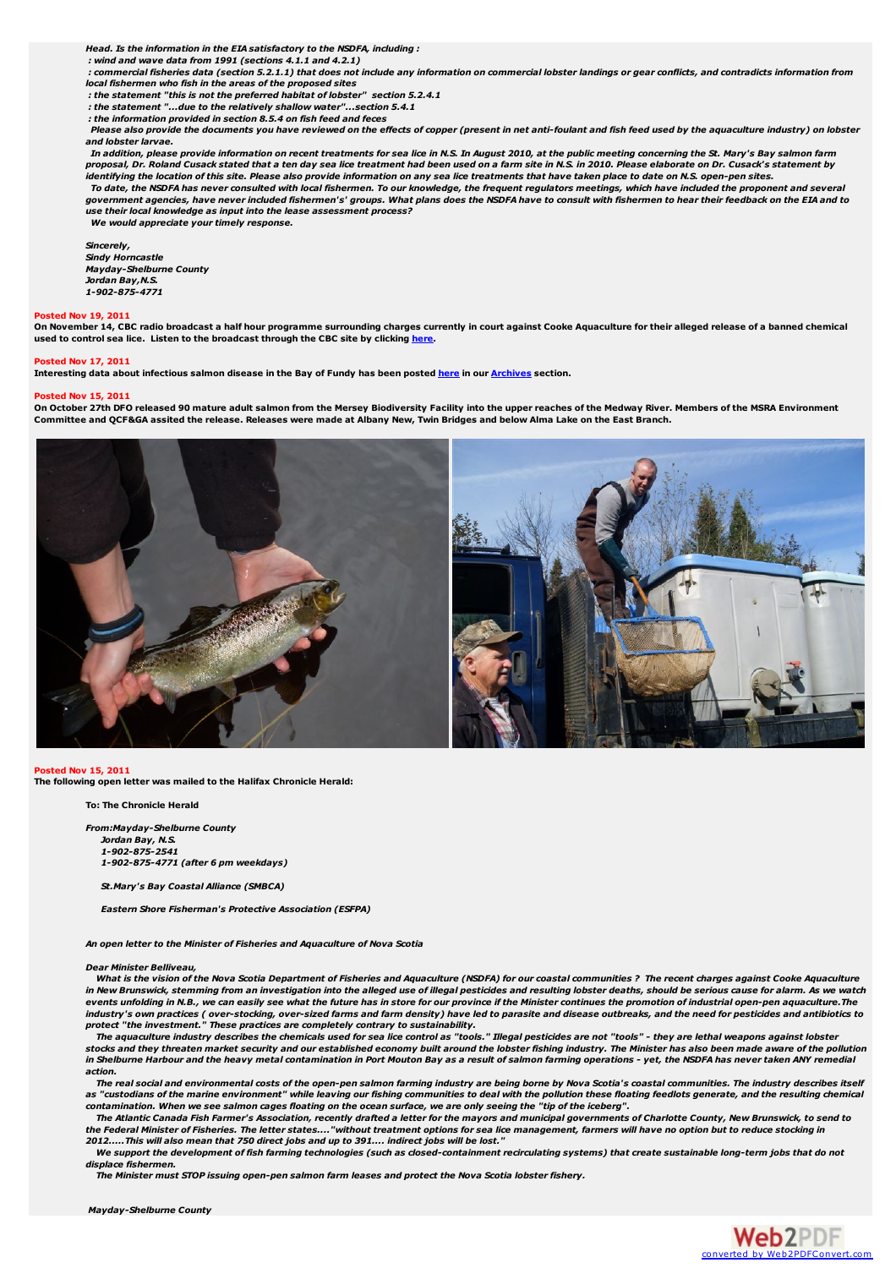*Head. Is the information in the EIA satisfactory to the NSDFA, including :*

*: wind and wave data from 1991 (sections 4.1.1 and 4.2.1)*

: commercial fisheries data (section 5.2.1.1) that does not include any information on commercial lobster landings or gear conflicts, and contradicts information from *local fishermen who fish in the areas of the proposed sites*

*: the statement "this is not the preferred habitat of lobster" section 5.2.4.1*

*: the statement "...due to the relatively shallow water"...section 5.4.1*

*: the information provided in section 8.5.4 on fish feed and feces*

Please also provide the documents you have reviewed on the effects of copper (present in net anti-foulant and fish feed used by the aquaculture industry) on lobster *and lobster larvae.*

In addition, please provide information on recent treatments for sea lice in N.S. In August 2010, at the public meeting concerning the St. Mary's Bay salmon farm<br>proposal, Dr. Roland Cusack stated that a ten day sea lice t identifying the location of this site. Please also provide information on any sea lice treatments that have taken place to date on N.S. open-pen sites. To date, the NSDFA has never consulted with local fishermen. To our knowledge, the frequent regulators meetings, which have included the proponent and several

government agencies, have never included fishermen's' groups. What plans does the NSDFA have to consult with fishermen to hear their feedback on the EIA and to *use their local knowledge as input into the lease assessment process?*

*We would appreciate your timely response.*

*Sincerely, Sindy Horncastle Mayday-Shelburne County Jordan Bay,N.S. 1-902-875-4771*

# **Posted Nov 19, 2011**

On November 14, CBC radio broadcast a half hour programme surrounding charges currently in court against Cooke Aquaculture for their alleged release of a banned chemical **used to control sea lice. Listen to the broadcast through the CBC site by clicking [here](http://www.cbc.ca/fisheriesbroadcast/episodes/2011/11/14/another-concern-about-aquaculture/).**

### **Posted Nov 17, 2011**

Interesting data about infectious salmon disease in the Bay of Fundy has been posted [here](http://medwayriversalmonassociation.org/archives/Disease_Data_New_Brunswick.pdf) in our [Archives](http://medwayriversalmonassociation.org/archives/archives.html) section.

### **Posted Nov 15, 2011**

On October 27th DFO released 90 mature adult salmon from the Mersey Biodiversity Facility into the upper reaches of the Medway River. Members of the MSRA Environment Committee and QCF&GA assited the release. Releases were made at Albany New, Twin Bridges and below Alma Lake on the East Branch.



## **Posted Nov 15, 2011**

**The following open letter was mailed to the Halifax Chronicle Herald:**

**To: The Chronicle Herald**

*From:Mayday-Shelburne County Jordan Bay, N.S. 1-902-875-2541 1-902-875-4771 (after 6 pm weekdays)*

*St.Mary's Bay Coastal Alliance (SMBCA)*

*Eastern Shore Fisherman's Protective Association (ESFPA)*

*An open letter to the Minister of Fisheries and Aquaculture of Nova Scotia*

### *Dear Minister Belliveau,*

What is the vision of the Nova Scotia Department of Fisheries and Aquaculture (NSDFA) for our coastal communities ? The recent charges against Cooke Aquaculture in New Brunswick, stemming from an investigation into the alleged use of illegal pesticides and resulting lobster deaths, should be serious cause for alarm. As we watch events unfolding in N.B., we can easily see what the future has in store for our province if the Minister continues the promotion of industrial open-pen aquaculture. The industry's own practices (over-stocking, over-sized farms and farm density) have led to parasite and disease outbreaks, and the need for pesticides and antibiotics to

protect "the investment." These practices are completely contrary to sustainability.<br>The aquaculture industry describes the chemicals used for sea lice control as "tools." Illegal pesticides are not "tools" - they are leth stocks and they threaten market security and our established economy built around the lobster fishing industry. The Minister has also been made aware of the pollution in Shelburne Harbour and the heavy metal contamination in Port Mouton Bay as a result of salmon farming operations - yet, the NSDFA has never taken ANY remedial *action.*

The real social and environmental costs of the open-pen salmon farming industry are being borne by Nova Scotia's coastal communities. The industry describes itself as "custodians of the marine environment" while leaving our fishing communities to deal with the pollution these floating feedlots generate, and the resulting chemical contamination. When we see salmon cages floating on the ocean surface, we are only seeing the "tip of the iceberg".

The Atlantic Canada Fish Farmer's Association, recently drafted a letter for the mayors and municipal governments of Charlotte County, New Brunswick, to send to<br>the Federal Minister of Fisheries. The letter states...."with *2012.....This will also mean that 750 direct jobs and up to 391.... indirect jobs will be lost."*

We support the development of fish farming technologies (such as closed-containment recirculating systems) that create sustainable long-term jobs that do not *displace fishermen.*

*The Minister must STOP issuing open-pen salmon farm leases and protect the Nova Scotia lobster fishery.*